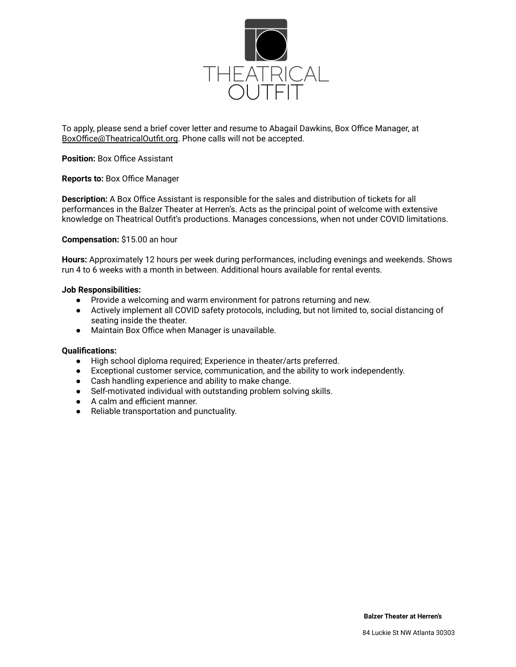

To apply, please send a brief cover letter and resume to Abagail Dawkins, Box Office Manager, at BoxOffice@TheatricalOutfit.org. Phone calls will not be accepted.

## **Position:** Box Office Assistant

#### **Reports to:** Box Office Manager

**Description:** A Box Office Assistant is responsible for the sales and distribution of tickets for all performances in the Balzer Theater at Herren's. Acts as the principal point of welcome with extensive knowledge on Theatrical Outfit's productions. Manages concessions, when not under COVID limitations.

#### **Compensation:** \$15.00 an hour

**Hours:** Approximately 12 hours per week during performances, including evenings and weekends. Shows run 4 to 6 weeks with a month in between. Additional hours available for rental events.

#### **Job Responsibilities:**

- Provide a welcoming and warm environment for patrons returning and new.
- Actively implement all COVID safety protocols, including, but not limited to, social distancing of seating inside the theater.
- Maintain Box Office when Manager is unavailable.

#### **Qualifications:**

- High school diploma required; Experience in theater/arts preferred.
- Exceptional customer service, communication, and the ability to work independently.
- Cash handling experience and ability to make change.
- Self-motivated individual with outstanding problem solving skills.
- A calm and efficient manner.
- Reliable transportation and punctuality.